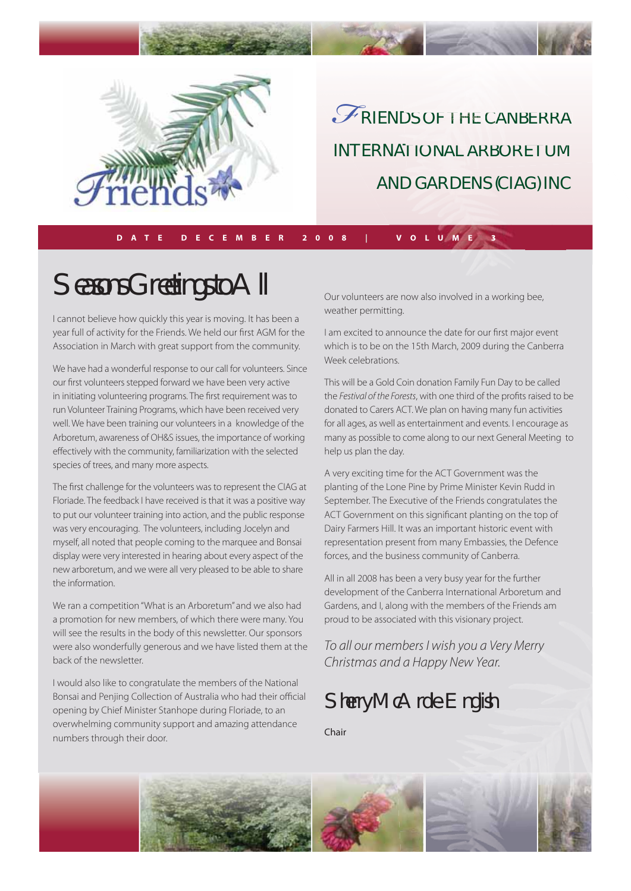

RIENDS OF THE CANBERRA INTERNATIONAL ARBORETUM AND GARDENS (CIAG) INC *F* DS OF THE CANBERRA

**DATE DECEMBER 2008 | VOLUME 3**

# Seasons Greetings to All

I cannot believe how quickly this year is moving. It has been a year full of activity for the Friends. We held our first AGM for the Association in March with great support from the community.

We have had a wonderful response to our call for volunteers. Since our first volunteers stepped forward we have been very active in initiating volunteering programs. The first requirement was to run Volunteer Training Programs, which have been received very well. We have been training our volunteers in a knowledge of the Arboretum, awareness of OH&S issues, the importance of working effectively with the community, familiarization with the selected species of trees, and many more aspects.

The first challenge for the volunteers was to represent the CIAG at Floriade. The feedback I have received is that it was a positive way to put our volunteer training into action, and the public response was very encouraging. The volunteers, including Jocelyn and myself, all noted that people coming to the marquee and Bonsai display were very interested in hearing about every aspect of the new arboretum, and we were all very pleased to be able to share the information.

We ran a competition "What is an Arboretum" and we also had a promotion for new members, of which there were many. You will see the results in the body of this newsletter. Our sponsors were also wonderfully generous and we have listed them at the back of the newsletter.

I would also like to congratulate the members of the National Bonsai and Penjing Collection of Australia who had their official opening by Chief Minister Stanhope during Floriade, to an overwhelming community support and amazing attendance numbers through their door.

Our volunteers are now also involved in a working bee, weather permitting.

I am excited to announce the date for our first major event which is to be on the 15th March, 2009 during the Canberra Week celebrations.

This will be a Gold Coin donation Family Fun Day to be called the Festival of the Forests, with one third of the profits raised to be donated to Carers ACT. We plan on having many fun activities for all ages, as well as entertainment and events. I encourage as many as possible to come along to our next General Meeting to help us plan the day.

A very exciting time for the ACT Government was the planting of the Lone Pine by Prime Minister Kevin Rudd in September. The Executive of the Friends congratulates the ACT Government on this significant planting on the top of Dairy Farmers Hill. It was an important historic event with representation present from many Embassies, the Defence forces, and the business community of Canberra.

All in all 2008 has been a very busy year for the further development of the Canberra International Arboretum and Gardens, and I, along with the members of the Friends am proud to be associated with this visionary project.

To all our members I wish you a Very Merry Christmas and a Happy New Year.

## Sherry McArdle-English

Chair

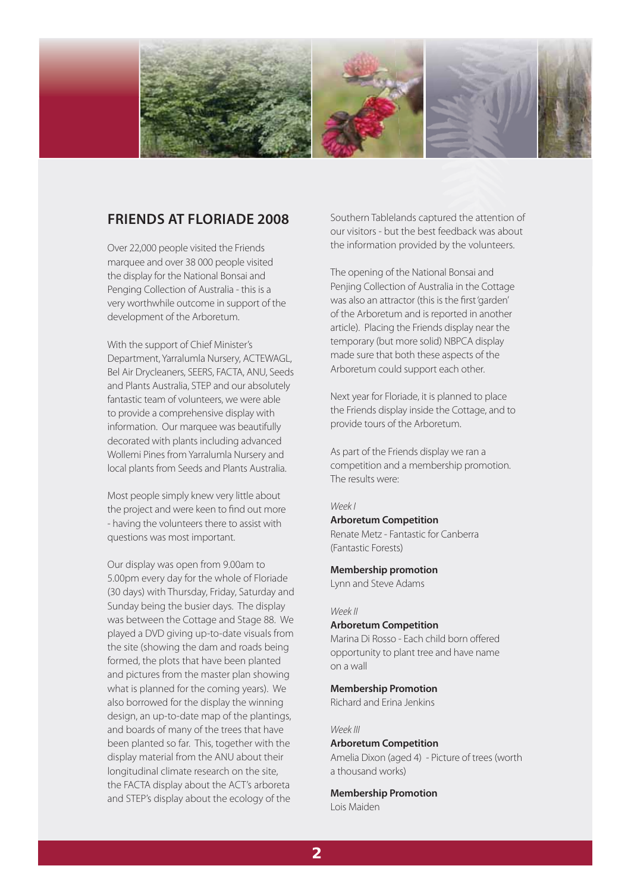

## **FRIENDS AT FLORIADE 2008**

Over 22,000 people visited the Friends marquee and over 38 000 people visited the display for the National Bonsai and Penging Collection of Australia - this is a very worthwhile outcome in support of the development of the Arboretum.

With the support of Chief Minister's Department, Yarralumla Nursery, ACTEWAGL, Bel Air Drycleaners, SEERS, FACTA, ANU, Seeds and Plants Australia, STEP and our absolutely fantastic team of volunteers, we were able to provide a comprehensive display with information. Our marquee was beautifully decorated with plants including advanced Wollemi Pines from Yarralumla Nursery and local plants from Seeds and Plants Australia.

Most people simply knew very little about the project and were keen to find out more - having the volunteers there to assist with questions was most important.

Our display was open from 9.00am to 5.00pm every day for the whole of Floriade (30 days) with Thursday, Friday, Saturday and Sunday being the busier days. The display was between the Cottage and Stage 88. We played a DVD giving up-to-date visuals from the site (showing the dam and roads being formed, the plots that have been planted and pictures from the master plan showing what is planned for the coming years). We also borrowed for the display the winning design, an up-to-date map of the plantings, and boards of many of the trees that have been planted so far. This, together with the display material from the ANU about their longitudinal climate research on the site, the FACTA display about the ACT's arboreta and STEP's display about the ecology of the

Southern Tablelands captured the attention of our visitors - but the best feedback was about the information provided by the volunteers.

The opening of the National Bonsai and Penjing Collection of Australia in the Cottage was also an attractor (this is the first 'garden' of the Arboretum and is reported in another article). Placing the Friends display near the temporary (but more solid) NBPCA display made sure that both these aspects of the Arboretum could support each other.

Next year for Floriade, it is planned to place the Friends display inside the Cottage, and to provide tours of the Arboretum.

As part of the Friends display we ran a competition and a membership promotion. The results were:

#### Week I

#### **Arboretum Competition**

Renate Metz - Fantastic for Canberra (Fantastic Forests)

#### **Membership promotion**

Lynn and Steve Adams

#### Week II

#### **Arboretum Competition**

Marina Di Rosso - Each child born offered opportunity to plant tree and have name on a wall

#### **Membership Promotion**

Richard and Erina Jenkins

#### Week III

#### **Arboretum Competition**

Amelia Dixon (aged 4) - Picture of trees (worth a thousand works)

### **Membership Promotion**

Lois Maiden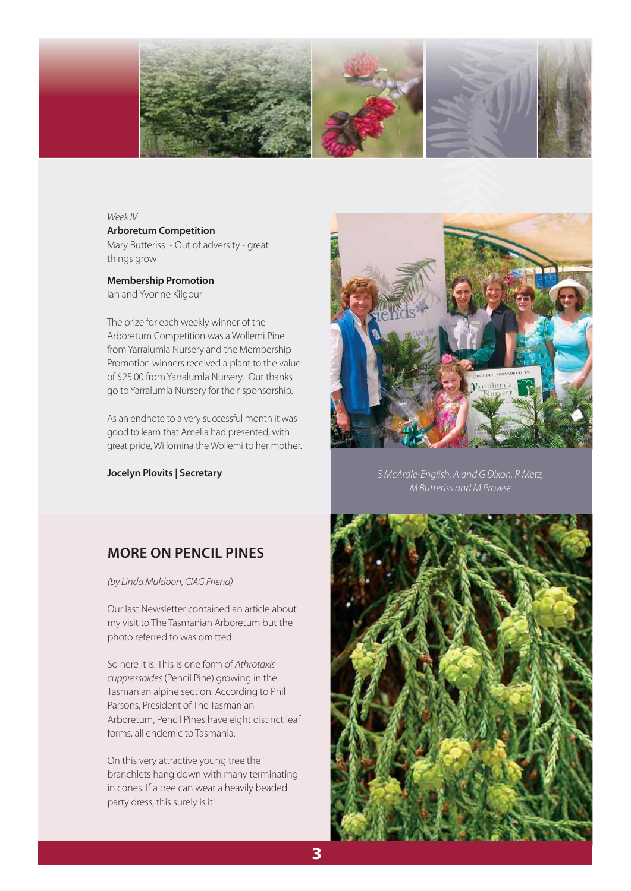

#### Week IV

**Arboretum Competition** Mary Butteriss - Out of adversity - great things grow

#### **Membership Promotion** Ian and Yvonne Kilgour

The prize for each weekly winner of the Arboretum Competition was a Wollemi Pine from Yarralumla Nursery and the Membership Promotion winners received a plant to the value of \$25.00 from Yarralumla Nursery. Our thanks go to Yarralumla Nursery for their sponsorship.

As an endnote to a very successful month it was good to learn that Amelia had presented, with great pride, Willomina the Wollemi to her mother.



**Jocelyn Plovits | Secretary** Same Company State English, A and G Dixon, R Metz, M Butteriss and M Prowse

## **MORE ON PENCIL PINES**

(by Linda Muldoon, CIAG Friend)

Our last Newsletter contained an article about my visit to The Tasmanian Arboretum but the photo referred to was omitted.

So here it is. This is one form of Athrotaxis cuppressoides (Pencil Pine) growing in the Tasmanian alpine section. According to Phil Parsons, President of The Tasmanian Arboretum, Pencil Pines have eight distinct leaf forms, all endemic to Tasmania.

On this very attractive young tree the branchlets hang down with many terminating in cones. If a tree can wear a heavily beaded party dress, this surely is it!

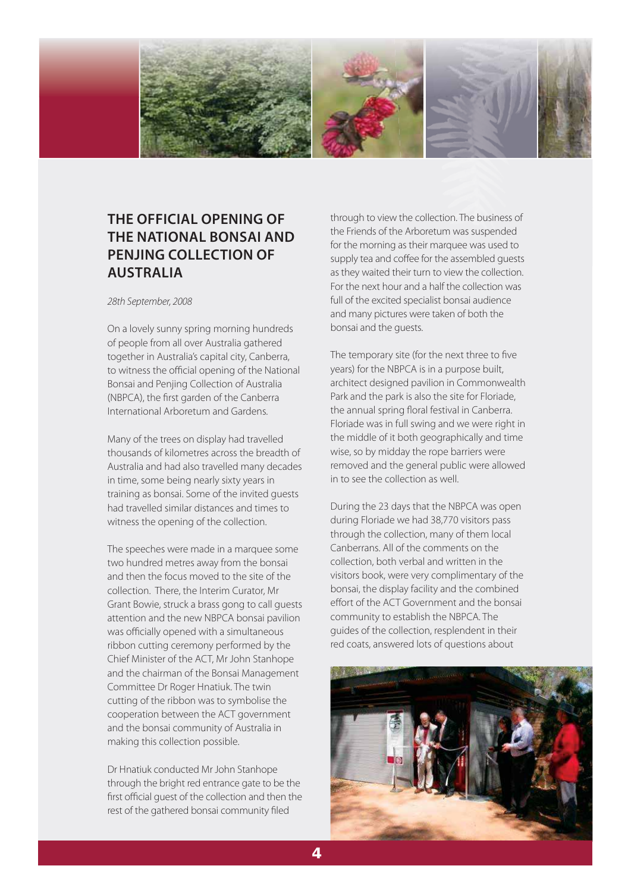

## **THE OFFICIAL OPENING OF THE NATIONAL BONSAI AND PENJING COLLECTION OF AUSTRALIA**

28th September, 2008

On a lovely sunny spring morning hundreds of people from all over Australia gathered together in Australia's capital city, Canberra, to witness the official opening of the National Bonsai and Penjing Collection of Australia (NBPCA), the first garden of the Canberra International Arboretum and Gardens.

Many of the trees on display had travelled thousands of kilometres across the breadth of Australia and had also travelled many decades in time, some being nearly sixty years in training as bonsai. Some of the invited guests had travelled similar distances and times to witness the opening of the collection.

The speeches were made in a marquee some two hundred metres away from the bonsai and then the focus moved to the site of the collection. There, the Interim Curator, Mr Grant Bowie, struck a brass gong to call guests attention and the new NBPCA bonsai pavilion was officially opened with a simultaneous ribbon cutting ceremony performed by the Chief Minister of the ACT, Mr John Stanhope and the chairman of the Bonsai Management Committee Dr Roger Hnatiuk. The twin cutting of the ribbon was to symbolise the cooperation between the ACT government and the bonsai community of Australia in making this collection possible.

Dr Hnatiuk conducted Mr John Stanhope through the bright red entrance gate to be the first official quest of the collection and then the rest of the gathered bonsai community filed

through to view the collection. The business of the Friends of the Arboretum was suspended for the morning as their marquee was used to supply tea and coffee for the assembled quests as they waited their turn to view the collection. For the next hour and a half the collection was full of the excited specialist bonsai audience and many pictures were taken of both the bonsai and the guests.

The temporary site (for the next three to five years) for the NBPCA is in a purpose built, architect designed pavilion in Commonwealth Park and the park is also the site for Floriade, the annual spring floral festival in Canberra. Floriade was in full swing and we were right in the middle of it both geographically and time wise, so by midday the rope barriers were removed and the general public were allowed in to see the collection as well.

During the 23 days that the NBPCA was open during Floriade we had 38,770 visitors pass through the collection, many of them local Canberrans. All of the comments on the collection, both verbal and written in the visitors book, were very complimentary of the bonsai, the display facility and the combined effort of the ACT Government and the bonsai community to establish the NBPCA. The guides of the collection, resplendent in their red coats, answered lots of questions about

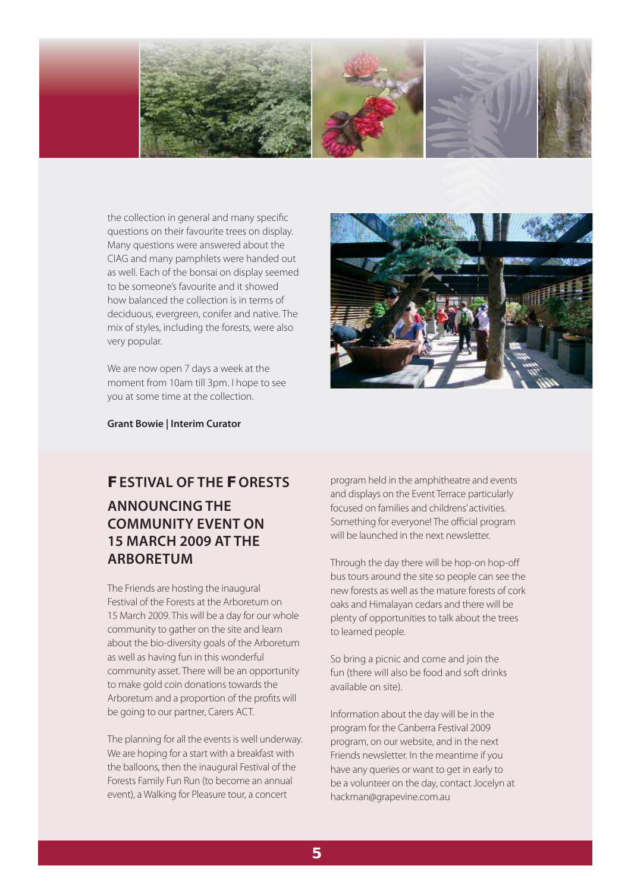

the collection in general and many specific questions on their favourite trees on display. Many questions were answered about the CIAG and many pamphlets were handed out as well. Each of the bonsai on display seemed to be someone's favourite and it showed how balanced the collection is in terms of deciduous, evergreen, conifer and native. The mix of styles, including the forests, were also very popular.

We are now open 7 days a week at the moment from 10am till 3pm. I hope to see you at some time at the collection.



**Grant Bowie | Interim Curator**

## **FESTIVAL OF THE FORESTS ANNOUNCING THE COMMUNITY EVENT ON 15 MARCH 2009 AT THE ARBORETUM**

The Friends are hosting the inaugural Festival of the Forests at the Arboretum on 15 March 2009. This will be a day for our whole community to gather on the site and learn about the bio-diversity goals of the Arboretum as well as having fun in this wonderful community asset. There will be an opportunity to make gold coin donations towards the Arboretum and a proportion of the profits will be going to our partner, Carers ACT.

The planning for all the events is well underway. We are hoping for a start with a breakfast with the balloons, then the inaugural Festival of the Forests Family Fun Run (to become an annual event), a Walking for Pleasure tour, a concert

program held in the amphitheatre and events and displays on the Event Terrace particularly focused on families and childrens' activities. Something for everyone! The official program will be launched in the next newsletter.

Through the day there will be hop-on hop-off bus tours around the site so people can see the new forests as well as the mature forests of cork oaks and Himalayan cedars and there will be plenty of opportunities to talk about the trees to learned people.

So bring a picnic and come and join the fun (there will also be food and soft drinks available on site).

Information about the day will be in the program for the Canberra Festival 2009 program, on our website, and in the next Friends newsletter. In the meantime if you have any queries or want to get in early to be a volunteer on the day, contact Jocelyn at hackman@grapevine.com.au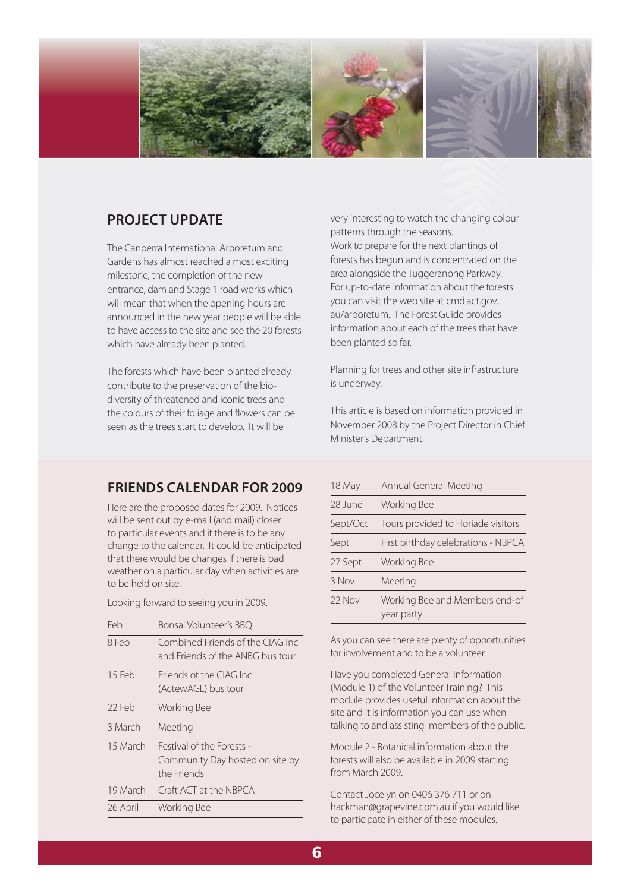

## **PROJECT UPDATE**

The Canberra International Arboretum and Gardens has almost reached a most exciting milestone, the completion of the new entrance, dam and Stage 1 road works which will mean that when the opening hours are announced in the new year people will be able to have access to the site and see the 20 forests which have already been planted.

The forests which have been planted already contribute to the preservation of the biodiversity of threatened and iconic trees and the colours of their foliage and flowers can be seen as the trees start to develop. It will be

very interesting to watch the changing colour patterns through the seasons. Work to prepare for the next plantings of forests has begun and is concentrated on the area alongside the Tuggeranong Parkway. For up-to-date information about the forests you can visit the web site at cmd.act.gov. au/arboretum. The Forest Guide provides information about each of the trees that have been planted so far. o watch the changing<br>or the seasons.<br>for the next plantings of<br>n and is concentrated of<br>ne Tuggeranong Parkw.

Planning for trees and other site infrastructure is underway.

This article is based on information provided in November 2008 by the Project Director in Chief Minister's Department.

## **FRIENDS CALENDAR FOR 2009**

Here are the proposed dates for 2009. Notices will be sent out by e-mail (and mail) closer to particular events and if there is to be any change to the calendar. It could be anticipated that there would be changes if there is bad weather on a particular day when activities are to be held on site.

Looking forward to seeing you in 2009.

| Feb      | Bonsai Volunteer's BBO                                                      |  |
|----------|-----------------------------------------------------------------------------|--|
| 8 Feb    | Combined Friends of the CIAG Inc<br>and Friends of the ANBG bus tour        |  |
| 15 Feb   | Friends of the CIAG Inc<br>(ActewAGL) bus tour                              |  |
| 22 Feb   | Working Bee                                                                 |  |
| 3 March  | Meeting                                                                     |  |
| 15 March | Festival of the Forests -<br>Community Day hosted on site by<br>the Friends |  |
| 19 March | Craft ACT at the NBPCA                                                      |  |
| 26 April | <b>Working Bee</b>                                                          |  |

| 18 May   | Annual General Meeting                       |  |
|----------|----------------------------------------------|--|
| 28 June  | Working Bee                                  |  |
| Sept/Oct | Tours provided to Floriade visitors          |  |
| Sept     | First birthday celebrations - NBPCA          |  |
| 27 Sept  | Working Bee                                  |  |
| 3 Nov    | Meeting                                      |  |
| 22 Nov   | Working Bee and Members end-of<br>year party |  |

As you can see there are plenty of opportunities for involvement and to be a volunteer.

Have you completed General Information (Module 1) of the Volunteer Training? This module provides useful information about the site and it is information you can use when talking to and assisting members of the public.

Module 2 - Botanical information about the forests will also be available in 2009 starting from March 2009.

Contact Jocelyn on 0406 376 711 or on hackman@grapevine.com.au if you would like to participate in either of these modules.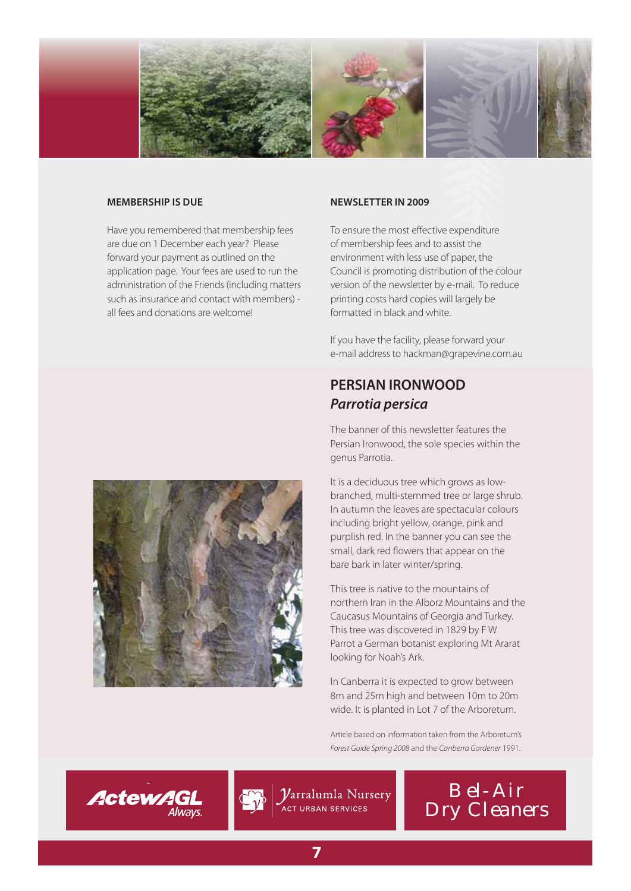

#### **MEMBERSHIP IS DUE**

Have you remembered that membership fees are due on 1 December each year? Please forward your payment as outlined on the application page. Your fees are used to run the administration of the Friends (including matters such as insurance and contact with members) all fees and donations are welcome!

#### **NEWSLETTER IN 2009**

To ensure the most effective expenditure of membership fees and to assist the environment with less use of paper, the Council is promoting distribution of the colour version of the newsletter by e-mail. To reduce printing costs hard copies will largely be formatted in black and white.

If you have the facility, please forward your e-mail address to hackman@grapevine.com.au

## **PERSIAN IRONWOOD** *Parrotia persica*

The banner of this newsletter features the Persian Ironwood, the sole species within the genus Parrotia.

It is a deciduous tree which grows as lowbranched, multi-stemmed tree or large shrub. In autumn the leaves are spectacular colours including bright yellow, orange, pink and purplish red. In the banner you can see the small, dark red flowers that appear on the bare bark in later winter/spring.

This tree is native to the mountains of northern Iran in the Alborz Mountains and the Caucasus Mountains of Georgia and Turkey. This tree was discovered in 1829 by F W Parrot a German botanist exploring Mt Ararat looking for Noah's Ark.

In Canberra it is expected to grow between 8m and 25m high and between 10m to 20m wide. It is planted in Lot 7 of the Arboretum.

Article based on information taken from the Arboretum's Forest Guide Spring 2008 and the Canberra Gardener 1991.

 $\boldsymbol{\mathcal{V}}$ arralumla Nursery ∕<br>ACT URBAN SERVICES





**ActewAGL**